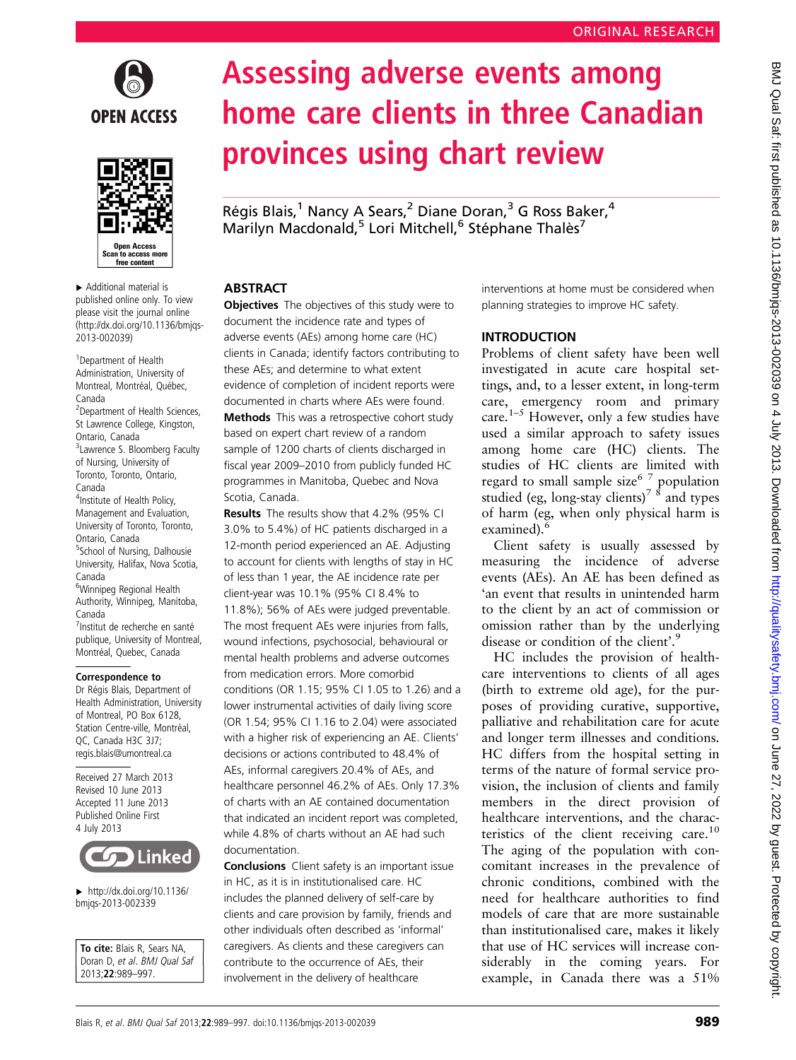



▸ Additional material is published online only. To view please visit the journal online ([http://dx.doi.org/10.1136/bmjqs-](http://dx.doi.org/10.1136/bmjqs-2013-002039)[2013-002039\)](http://dx.doi.org/10.1136/bmjqs-2013-002039)

1 Department of Health Administration, University of Montreal, Montréal, Québec, Canada <sup>2</sup> Department of Health Sciences, St Lawrence College, Kingston, Ontario, Canada <sup>3</sup> Lawrence S. Bloomberg Faculty of Nursing, University of Toronto, Toronto, Ontario, Canada <sup>4</sup>Institute of Health Policy, Management and Evaluation, University of Toronto, Toronto, Ontario, Canada <sup>5</sup>School of Nursing, Dalhousie University, Halifax, Nova Scotia, Canada 6 Winnipeg Regional Health Authority, Winnipeg, Manitoba, Canada 7Institut de recherche en santé publique, University of Montreal, Montréal, Quebec, Canada

#### Correspondence to

Dr Régis Blais, Department of Health Administration, University of Montreal, PO Box 6128, Station Centre-ville, Montréal, QC, Canada H3C 3J7; regis.blais@umontreal.ca

Received 27 March 2013 Revised 10 June 2013 Accepted 11 June 2013 Published Online First 4 July 2013



 $\blacktriangleright$  [http://dx.doi.org/10.1136/](http://dx.doi.org/10.1136/bmjqs-2013-002339) [bmjqs-2013-002339](http://dx.doi.org/10.1136/bmjqs-2013-002339)

To cite: Blais R, Sears NA, Doran D, et al. BMJ Qual Saf 2013;22:989–997.

# Assessing adverse events among home care clients in three Canadian provinces using chart review

Régis Blais,<sup>1</sup> Nancy A Sears,<sup>2</sup> Diane Doran,<sup>3</sup> G Ross Baker,<sup>4</sup> Marilyn Macdonald,<sup>5</sup> Lori Mitchell,<sup>6</sup> Stéphane Thalès<sup>7</sup>

# ABSTRACT

**Objectives** The objectives of this study were to document the incidence rate and types of adverse events (AEs) among home care (HC) clients in Canada; identify factors contributing to these AEs; and determine to what extent evidence of completion of incident reports were documented in charts where AEs were found. **Methods** This was a retrospective cohort study based on expert chart review of a random sample of 1200 charts of clients discharged in fiscal year 2009–2010 from publicly funded HC programmes in Manitoba, Quebec and Nova Scotia, Canada.

Results The results show that 4.2% (95% CI 3.0% to 5.4%) of HC patients discharged in a 12-month period experienced an AE. Adjusting to account for clients with lengths of stay in HC of less than 1 year, the AE incidence rate per client-year was 10.1% (95% CI 8.4% to 11.8%); 56% of AEs were judged preventable. The most frequent AEs were injuries from falls, wound infections, psychosocial, behavioural or mental health problems and adverse outcomes from medication errors. More comorbid conditions (OR 1.15; 95% CI 1.05 to 1.26) and a lower instrumental activities of daily living score (OR 1.54; 95% CI 1.16 to 2.04) were associated with a higher risk of experiencing an AE. Clients' decisions or actions contributed to 48.4% of AEs, informal caregivers 20.4% of AEs, and healthcare personnel 46.2% of AEs. Only 17.3% of charts with an AE contained documentation that indicated an incident report was completed, while 4.8% of charts without an AE had such documentation.

Conclusions Client safety is an important issue in HC, as it is in institutionalised care. HC includes the planned delivery of self-care by clients and care provision by family, friends and other individuals often described as 'informal' caregivers. As clients and these caregivers can contribute to the occurrence of AEs, their involvement in the delivery of healthcare

interventions at home must be considered when planning strategies to improve HC safety.

# INTRODUCTION

Problems of client safety have been well investigated in acute care hospital settings, and, to a lesser extent, in long-term care, emergency room and primary care.<sup>1–5</sup> However, only a few studies have used a similar approach to safety issues among home care (HC) clients. The studies of HC clients are limited with regard to small sample size<sup>6 7</sup> population studied (eg, long-stay clients)<sup>7</sup>  $\frac{8}{3}$  and types of harm (eg, when only physical harm is examined).

Client safety is usually assessed by measuring the incidence of adverse events (AEs). An AE has been defined as 'an event that results in unintended harm to the client by an act of commission or omission rather than by the underlying disease or condition of the client'.<sup>9</sup>

HC includes the provision of healthcare interventions to clients of all ages (birth to extreme old age), for the purposes of providing curative, supportive, palliative and rehabilitation care for acute and longer term illnesses and conditions. HC differs from the hospital setting in terms of the nature of formal service provision, the inclusion of clients and family members in the direct provision of healthcare interventions, and the characteristics of the client receiving care.<sup>10</sup> The aging of the population with concomitant increases in the prevalence of chronic conditions, combined with the need for healthcare authorities to find models of care that are more sustainable than institutionalised care, makes it likely that use of HC services will increase considerably in the coming years. For example, in Canada there was a 51%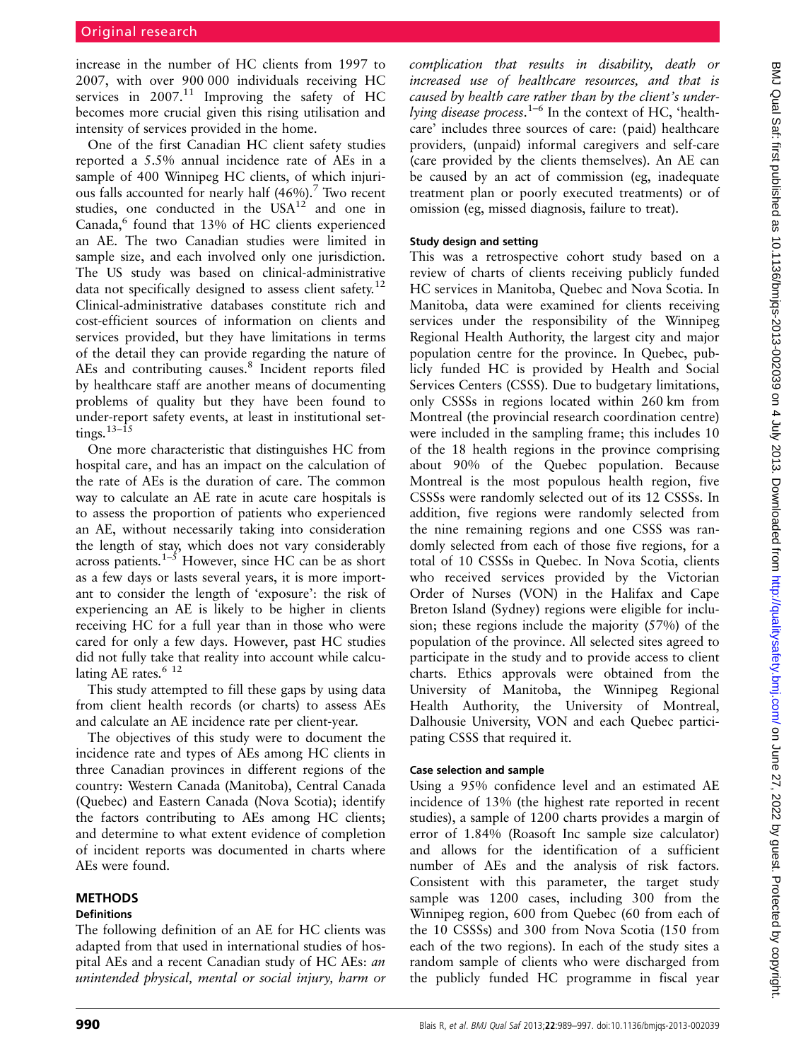increase in the number of HC clients from 1997 to 2007, with over 900 000 individuals receiving HC services in  $2007<sup>11</sup>$  Improving the safety of HC becomes more crucial given this rising utilisation and intensity of services provided in the home.

One of the first Canadian HC client safety studies reported a 5.5% annual incidence rate of AEs in a sample of 400 Winnipeg HC clients, of which injurious falls accounted for nearly half  $(46%)$ .<sup>7</sup> Two recent studies, one conducted in the  $USA^{12}$  and one in Canada,<sup>6</sup> found that 13% of HC clients experienced an AE. The two Canadian studies were limited in sample size, and each involved only one jurisdiction. The US study was based on clinical-administrative data not specifically designed to assess client safety.<sup>12</sup> Clinical-administrative databases constitute rich and cost-efficient sources of information on clients and services provided, but they have limitations in terms of the detail they can provide regarding the nature of AEs and contributing causes.<sup>8</sup> Incident reports filed by healthcare staff are another means of documenting problems of quality but they have been found to under-report safety events, at least in institutional settings. $13-15$ 

One more characteristic that distinguishes HC from hospital care, and has an impact on the calculation of the rate of AEs is the duration of care. The common way to calculate an AE rate in acute care hospitals is to assess the proportion of patients who experienced an AE, without necessarily taking into consideration the length of stay, which does not vary considerably across patients.<sup>1–5</sup> However, since HC can be as short as a few days or lasts several years, it is more important to consider the length of 'exposure': the risk of experiencing an AE is likely to be higher in clients receiving HC for a full year than in those who were cared for only a few days. However, past HC studies did not fully take that reality into account while calculating AE rates. $612$ 

This study attempted to fill these gaps by using data from client health records (or charts) to assess AEs and calculate an AE incidence rate per client-year.

The objectives of this study were to document the incidence rate and types of AEs among HC clients in three Canadian provinces in different regions of the country: Western Canada (Manitoba), Central Canada (Quebec) and Eastern Canada (Nova Scotia); identify the factors contributing to AEs among HC clients; and determine to what extent evidence of completion of incident reports was documented in charts where AEs were found.

## METHODS

#### Definitions

The following definition of an AE for HC clients was adapted from that used in international studies of hospital AEs and a recent Canadian study of HC AEs: an unintended physical, mental or social injury, harm or

complication that results in disability, death or increased use of healthcare resources, and that is caused by health care rather than by the client's underlying disease process.<sup>1–6</sup> In the context of HC, 'healthcare' includes three sources of care: (paid) healthcare providers, (unpaid) informal caregivers and self-care (care provided by the clients themselves). An AE can be caused by an act of commission (eg, inadequate treatment plan or poorly executed treatments) or of omission (eg, missed diagnosis, failure to treat).

## Study design and setting

This was a retrospective cohort study based on a review of charts of clients receiving publicly funded HC services in Manitoba, Quebec and Nova Scotia. In Manitoba, data were examined for clients receiving services under the responsibility of the Winnipeg Regional Health Authority, the largest city and major population centre for the province. In Quebec, publicly funded HC is provided by Health and Social Services Centers (CSSS). Due to budgetary limitations, only CSSSs in regions located within 260 km from Montreal (the provincial research coordination centre) were included in the sampling frame; this includes 10 of the 18 health regions in the province comprising about 90% of the Quebec population. Because Montreal is the most populous health region, five CSSSs were randomly selected out of its 12 CSSSs. In addition, five regions were randomly selected from the nine remaining regions and one CSSS was randomly selected from each of those five regions, for a total of 10 CSSSs in Quebec. In Nova Scotia, clients who received services provided by the Victorian Order of Nurses (VON) in the Halifax and Cape Breton Island (Sydney) regions were eligible for inclusion; these regions include the majority (57%) of the population of the province. All selected sites agreed to participate in the study and to provide access to client charts. Ethics approvals were obtained from the University of Manitoba, the Winnipeg Regional Health Authority, the University of Montreal, Dalhousie University, VON and each Quebec participating CSSS that required it.

## Case selection and sample

Using a 95% confidence level and an estimated AE incidence of 13% (the highest rate reported in recent studies), a sample of 1200 charts provides a margin of error of 1.84% (Roasoft Inc sample size calculator) and allows for the identification of a sufficient number of AEs and the analysis of risk factors. Consistent with this parameter, the target study sample was 1200 cases, including 300 from the Winnipeg region, 600 from Quebec (60 from each of the 10 CSSSs) and 300 from Nova Scotia (150 from each of the two regions). In each of the study sites a random sample of clients who were discharged from the publicly funded HC programme in fiscal year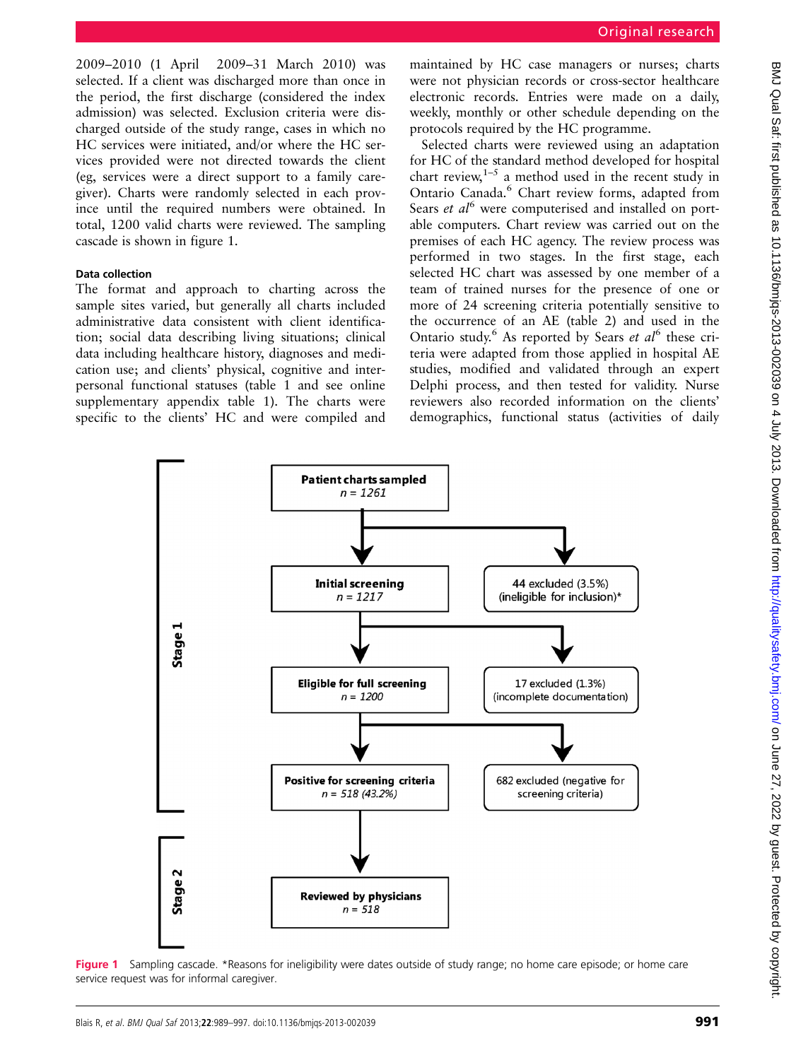2009–2010 (1 April 2009–31 March 2010) was selected. If a client was discharged more than once in the period, the first discharge (considered the index admission) was selected. Exclusion criteria were discharged outside of the study range, cases in which no HC services were initiated, and/or where the HC services provided were not directed towards the client (eg, services were a direct support to a family caregiver). Charts were randomly selected in each province until the required numbers were obtained. In total, 1200 valid charts were reviewed. The sampling cascade is shown in figure 1.

#### Data collection

The format and approach to charting across the sample sites varied, but generally all charts included administrative data consistent with client identification; social data describing living situations; clinical data including healthcare history, diagnoses and medication use; and clients' physical, cognitive and interpersonal functional statuses (table 1 and see online supplementary appendix table 1). The charts were specific to the clients' HC and were compiled and

maintained by HC case managers or nurses; charts were not physician records or cross-sector healthcare electronic records. Entries were made on a daily, weekly, monthly or other schedule depending on the protocols required by the HC programme.

Selected charts were reviewed using an adaptation for HC of the standard method developed for hospital chart review, $1-5$  a method used in the recent study in Ontario Canada.<sup>6</sup> Chart review forms, adapted from Sears *et al* $^{6}$  were computerised and installed on portable computers. Chart review was carried out on the premises of each HC agency. The review process was performed in two stages. In the first stage, each selected HC chart was assessed by one member of a team of trained nurses for the presence of one or more of 24 screening criteria potentially sensitive to the occurrence of an AE (table 2) and used in the Ontario study.<sup>6</sup> As reported by Sears *et al*<sup>6</sup> these criteria were adapted from those applied in hospital AE studies, modified and validated through an expert Delphi process, and then tested for validity. Nurse reviewers also recorded information on the clients' demographics, functional status (activities of daily



Figure 1 Sampling cascade. \*Reasons for ineligibility were dates outside of study range; no home care episode; or home care service request was for informal caregiver.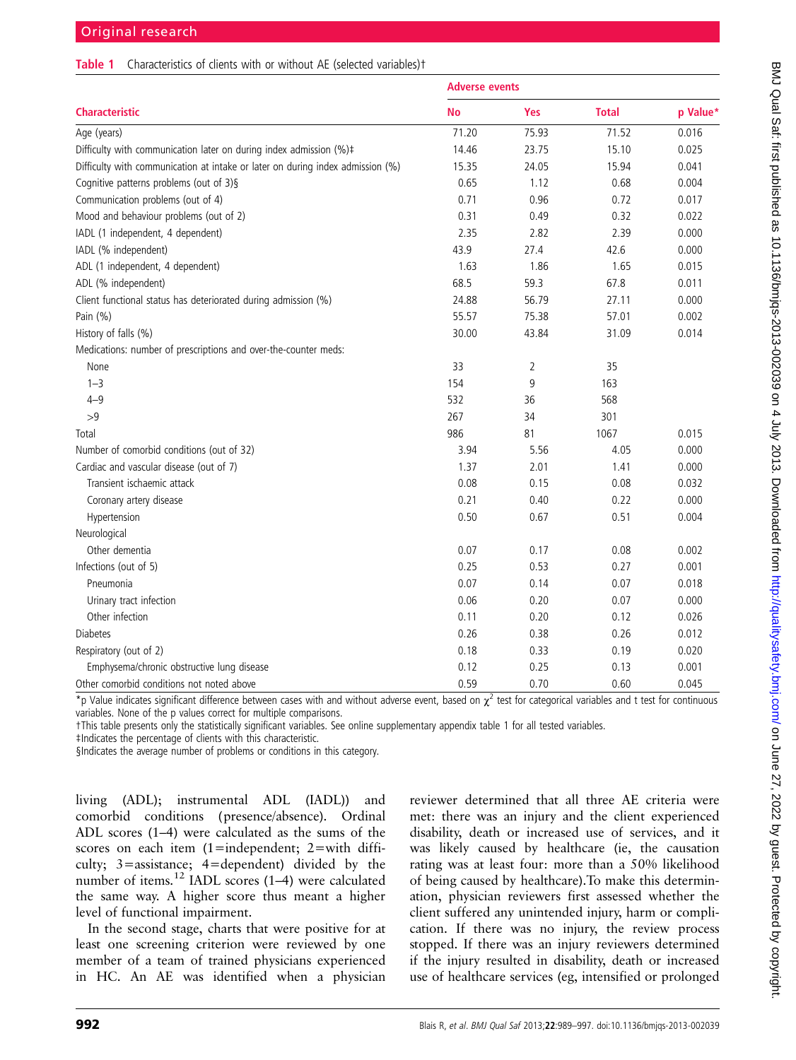#### Table 1 Characteristics of clients with or without AE (selected variables)<sup>†</sup>

|                                                                                | <b>Adverse events</b> |       |              |          |  |  |  |
|--------------------------------------------------------------------------------|-----------------------|-------|--------------|----------|--|--|--|
| <b>Characteristic</b>                                                          | <b>No</b>             | Yes   | <b>Total</b> | p Value* |  |  |  |
| Age (years)                                                                    | 71.20                 | 75.93 | 71.52        | 0.016    |  |  |  |
| Difficulty with communication later on during index admission (%)#             | 14.46                 | 23.75 | 15.10        | 0.025    |  |  |  |
| Difficulty with communication at intake or later on during index admission (%) | 15.35                 | 24.05 | 15.94        | 0.041    |  |  |  |
| Cognitive patterns problems (out of 3)§                                        | 0.65                  | 1.12  | 0.68         | 0.004    |  |  |  |
| Communication problems (out of 4)                                              | 0.71                  | 0.96  | 0.72         | 0.017    |  |  |  |
| Mood and behaviour problems (out of 2)                                         | 0.31                  | 0.49  | 0.32         | 0.022    |  |  |  |
| IADL (1 independent, 4 dependent)                                              | 2.35                  | 2.82  | 2.39         | 0.000    |  |  |  |
| IADL (% independent)                                                           | 43.9                  | 27.4  | 42.6         | 0.000    |  |  |  |
| ADL (1 independent, 4 dependent)                                               | 1.63                  | 1.86  | 1.65         | 0.015    |  |  |  |
| ADL (% independent)                                                            | 68.5                  | 59.3  | 67.8         | 0.011    |  |  |  |
| Client functional status has deteriorated during admission (%)                 | 24.88                 | 56.79 | 27.11        | 0.000    |  |  |  |
| Pain (%)                                                                       | 55.57                 | 75.38 | 57.01        | 0.002    |  |  |  |
| History of falls (%)                                                           | 30.00                 | 43.84 | 31.09        | 0.014    |  |  |  |
| Medications: number of prescriptions and over-the-counter meds:                |                       |       |              |          |  |  |  |
| None                                                                           | 33                    | 2     | 35           |          |  |  |  |
| $1 - 3$                                                                        | 154                   | 9     | 163          |          |  |  |  |
| $4 - 9$                                                                        | 532                   | 36    | 568          |          |  |  |  |
| >9                                                                             | 267                   | 34    | 301          |          |  |  |  |
| Total                                                                          | 986                   | 81    | 1067         | 0.015    |  |  |  |
| Number of comorbid conditions (out of 32)                                      | 3.94                  | 5.56  | 4.05         | 0.000    |  |  |  |
| Cardiac and vascular disease (out of 7)                                        | 1.37                  | 2.01  | 1.41         | 0.000    |  |  |  |
| Transient ischaemic attack                                                     | 0.08                  | 0.15  | 0.08         | 0.032    |  |  |  |
| Coronary artery disease                                                        | 0.21                  | 0.40  | 0.22         | 0.000    |  |  |  |
| Hypertension                                                                   | 0.50                  | 0.67  | 0.51         | 0.004    |  |  |  |
| Neurological                                                                   |                       |       |              |          |  |  |  |
| Other dementia                                                                 | 0.07                  | 0.17  | 0.08         | 0.002    |  |  |  |
| Infections (out of 5)                                                          | 0.25                  | 0.53  | 0.27         | 0.001    |  |  |  |
| Pneumonia                                                                      | 0.07                  | 0.14  | 0.07         | 0.018    |  |  |  |
| Urinary tract infection                                                        | 0.06                  | 0.20  | 0.07         | 0.000    |  |  |  |
| Other infection                                                                | 0.11                  | 0.20  | 0.12         | 0.026    |  |  |  |
| <b>Diabetes</b>                                                                | 0.26                  | 0.38  | 0.26         | 0.012    |  |  |  |
| Respiratory (out of 2)                                                         | 0.18                  | 0.33  | 0.19         | 0.020    |  |  |  |
| Emphysema/chronic obstructive lung disease                                     | 0.12                  | 0.25  | 0.13         | 0.001    |  |  |  |
| Other comorbid conditions not noted above                                      | 0.59                  | 0.70  | 0.60         | 0.045    |  |  |  |

\*p Value indicates significant difference between cases with and without adverse event, based on  $\chi^2$  test for categorical variables and t test for continuous variables. None of the p values correct for multiple comparisons.

†This table presents only the statistically significant variables. See online [supplementary appendix](http://qualitysafety.bmj.com/lookup/suppl/doi:10.1136/bmjqs-2013-002039/-/DC1) table 1 for all tested variables.

‡Indicates the percentage of clients with this characteristic.

§Indicates the average number of problems or conditions in this category.

living (ADL); instrumental ADL (IADL)) and comorbid conditions (presence/absence). Ordinal ADL scores (1–4) were calculated as the sums of the scores on each item (1=independent; 2=with difficulty; 3=assistance; 4=dependent) divided by the number of items.<sup>12</sup> IADL scores (1–4) were calculated the same way. A higher score thus meant a higher level of functional impairment.

In the second stage, charts that were positive for at least one screening criterion were reviewed by one member of a team of trained physicians experienced in HC. An AE was identified when a physician

reviewer determined that all three AE criteria were met: there was an injury and the client experienced disability, death or increased use of services, and it was likely caused by healthcare (ie, the causation rating was at least four: more than a 50% likelihood of being caused by healthcare).To make this determination, physician reviewers first assessed whether the client suffered any unintended injury, harm or complication. If there was no injury, the review process stopped. If there was an injury reviewers determined if the injury resulted in disability, death or increased use of healthcare services (eg, intensified or prolonged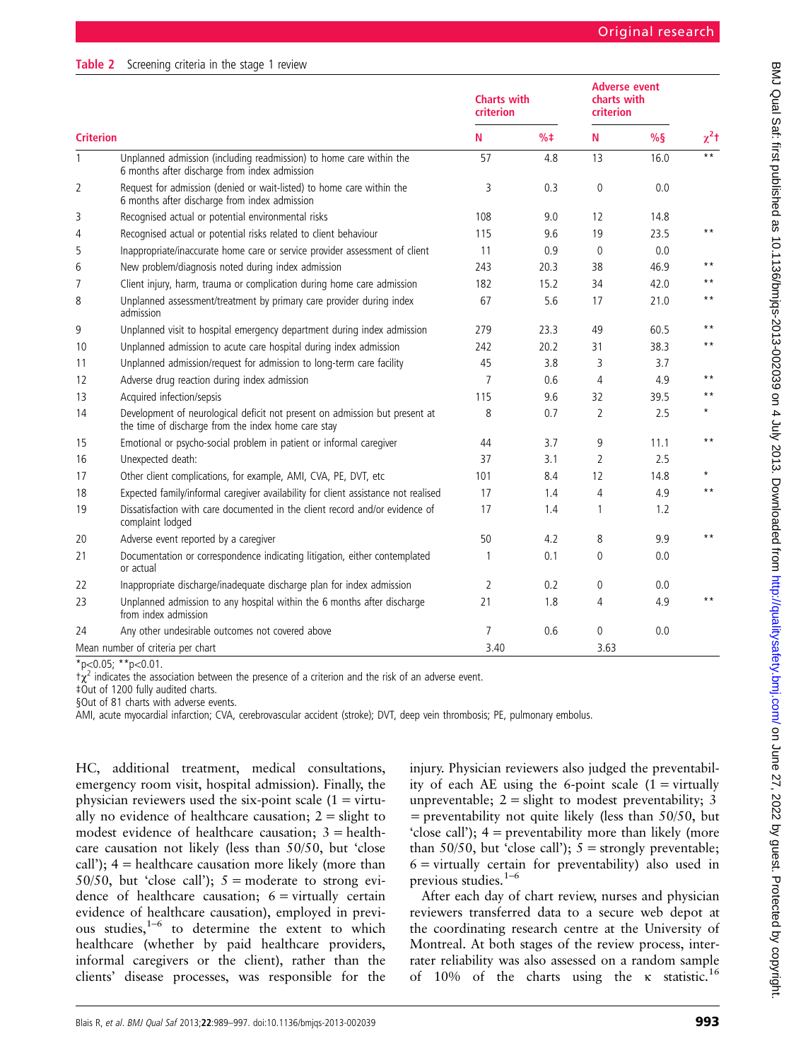$\frac{\chi^2t}{\chi\star}$ 

|                  |                                                                                                                                    | <b>Charts with</b><br>criterion |        | charts with<br>criterion | <b>Adverse event</b> |                 |
|------------------|------------------------------------------------------------------------------------------------------------------------------------|---------------------------------|--------|--------------------------|----------------------|-----------------|
| <b>Criterion</b> |                                                                                                                                    | Ν                               | $%1 +$ | N                        | %                    | $\chi^2$        |
| 1                | Unplanned admission (including readmission) to home care within the<br>6 months after discharge from index admission               | 57                              | 4.8    | 13                       | 16.0                 | $**$            |
| 2                | Request for admission (denied or wait-listed) to home care within the<br>6 months after discharge from index admission             | 3                               | 0.3    | $\theta$                 | 0.0                  |                 |
| 3                | Recognised actual or potential environmental risks                                                                                 | 108                             | 9.0    | 12                       | 14.8                 |                 |
| 4                | Recognised actual or potential risks related to client behaviour                                                                   | 115                             | 9.6    | 19                       | 23.5                 | * *             |
| 5                | Inappropriate/inaccurate home care or service provider assessment of client                                                        | 11                              | 0.9    | 0                        | 0.0                  |                 |
| 6                | New problem/diagnosis noted during index admission                                                                                 | 243                             | 20.3   | 38                       | 46.9                 | $\star$ $\star$ |
| 7                | Client injury, harm, trauma or complication during home care admission                                                             | 182                             | 15.2   | 34                       | 42.0                 | $**$            |
| 8                | Unplanned assessment/treatment by primary care provider during index<br>admission                                                  | 67                              | 5.6    | 17                       | 21.0                 | $\star$ $\star$ |
| 9                | Unplanned visit to hospital emergency department during index admission                                                            | 279                             | 23.3   | 49                       | 60.5                 | $* *$           |
| 10               | Unplanned admission to acute care hospital during index admission                                                                  | 242                             | 20.2   | 31                       | 38.3                 | $* *$           |
| 11               | Unplanned admission/request for admission to long-term care facility                                                               | 45                              | 3.8    | 3                        | 3.7                  |                 |
| 12               | Adverse drug reaction during index admission                                                                                       | 7                               | 0.6    | 4                        | 4.9                  | $* *$           |
| 13               | Acquired infection/sepsis                                                                                                          | 115                             | 9.6    | 32                       | 39.5                 | $* *$           |
| 14               | Development of neurological deficit not present on admission but present at<br>the time of discharge from the index home care stay | 8                               | 0.7    | $\overline{2}$           | 2.5                  | $\star$         |
| 15               | Emotional or psycho-social problem in patient or informal caregiver                                                                | 44                              | 3.7    | 9                        | 11.1                 | $* *$           |
| 16               | Unexpected death:                                                                                                                  | 37                              | 3.1    | $\overline{2}$           | 2.5                  |                 |
| 17               | Other client complications, for example, AMI, CVA, PE, DVT, etc                                                                    | 101                             | 8.4    | 12                       | 14.8                 | $\star$         |
| 18               | Expected family/informal caregiver availability for client assistance not realised                                                 | 17                              | 1.4    | 4                        | 4.9                  | $\star\star$    |
| 19               | Dissatisfaction with care documented in the client record and/or evidence of<br>complaint lodged                                   | 17                              | 1.4    | 1                        | 1.2                  |                 |
| 20               | Adverse event reported by a caregiver                                                                                              | 50                              | 4.2    | 8                        | 9.9                  | $\star$ $\star$ |
| 21               | Documentation or correspondence indicating litigation, either contemplated<br>or actual                                            | 1                               | 0.1    | $\theta$                 | 0.0                  |                 |
| 22               | Inappropriate discharge/inadequate discharge plan for index admission                                                              | $\overline{2}$                  | 0.2    | $\mathbf 0$              | 0.0                  |                 |
| 23               | Unplanned admission to any hospital within the 6 months after discharge<br>from index admission                                    | 21                              | 1.8    | 4                        | 4.9                  | $* *$           |
| 24               | Any other undesirable outcomes not covered above                                                                                   | 7                               | 0.6    | $\mathbf{0}$             | 0.0                  |                 |

Table 2 Screening criteria in the stage 1 review

 $*_{p<0.05;}$  \*\*p<0.01.

 $\tau \chi^2$  indicates the association between the presence of a criterion and the risk of an adverse event.

‡Out of 1200 fully audited charts.

§Out of 81 charts with adverse events.

AMI, acute myocardial infarction; CVA, cerebrovascular accident (stroke); DVT, deep vein thrombosis; PE, pulmonary embolus.

Mean number of criteria per chart 3.63

HC, additional treatment, medical consultations, emergency room visit, hospital admission). Finally, the physician reviewers used the six-point scale  $(1 = \text{virtu-}$ ally no evidence of healthcare causation;  $2 =$  slight to modest evidence of healthcare causation;  $3 = \text{health}$ care causation not likely (less than 50/50, but 'close call'); 4 = healthcare causation more likely (more than 50/50, but 'close call');  $5 =$  moderate to strong evidence of healthcare causation;  $6 = \text{virtually}$  certain evidence of healthcare causation), employed in previous studies, $1-6$  to determine the extent to which healthcare (whether by paid healthcare providers, informal caregivers or the client), rather than the clients' disease processes, was responsible for the

injury. Physician reviewers also judged the preventability of each AE using the 6-point scale  $(1 = \text{virtually})$ unpreventable;  $2 =$  slight to modest preventability; 3  $=$  preventability not quite likely (less than 50/50, but 'close call'); 4 = preventability more than likely (more than 50/50, but 'close call');  $5 =$  strongly preventable;  $6$  = virtually certain for preventability) also used in previous studies.1–<sup>6</sup>

After each day of chart review, nurses and physician reviewers transferred data to a secure web depot at the coordinating research centre at the University of Montreal. At both stages of the review process, interrater reliability was also assessed on a random sample of 10% of the charts using the  $\kappa$  statistic.<sup>16</sup>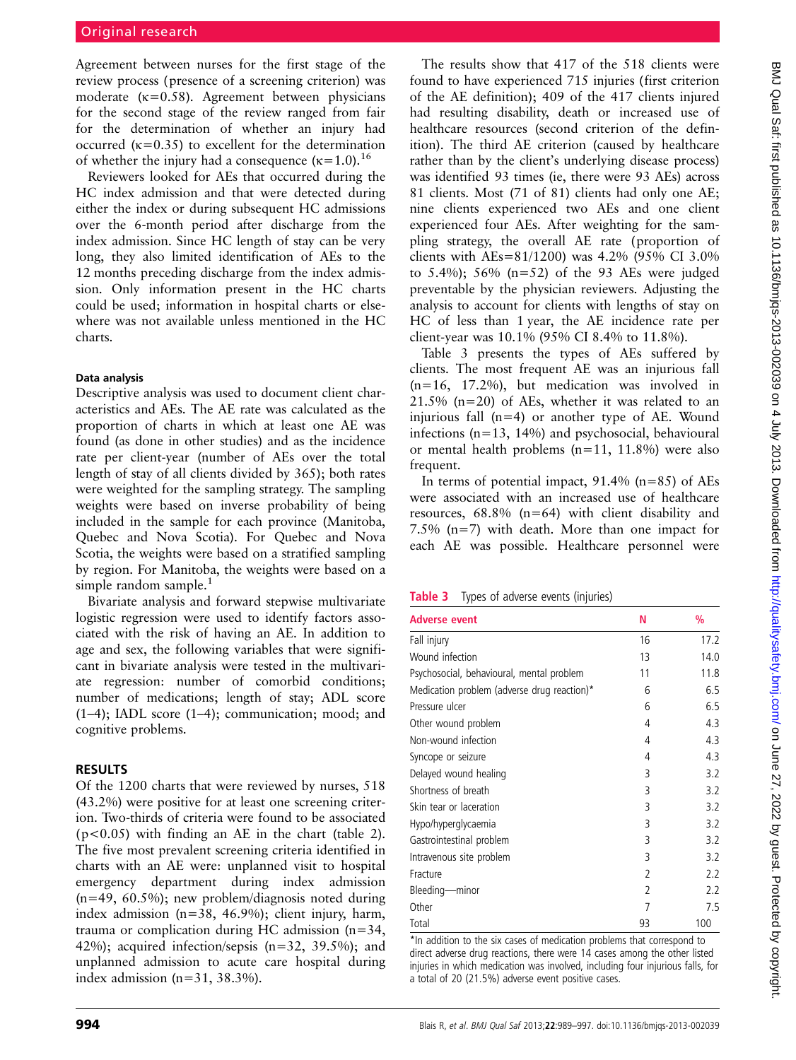Agreement between nurses for the first stage of the review process (presence of a screening criterion) was moderate ( $\kappa$ =0.58). Agreement between physicians for the second stage of the review ranged from fair for the determination of whether an injury had occurred  $(\kappa=0.35)$  to excellent for the determination of whether the injury had a consequence  $(\kappa=1.0).^{16}$ 

Reviewers looked for AEs that occurred during the HC index admission and that were detected during either the index or during subsequent HC admissions over the 6-month period after discharge from the index admission. Since HC length of stay can be very long, they also limited identification of AEs to the 12 months preceding discharge from the index admission. Only information present in the HC charts could be used; information in hospital charts or elsewhere was not available unless mentioned in the HC charts.

#### Data analysis

Descriptive analysis was used to document client characteristics and AEs. The AE rate was calculated as the proportion of charts in which at least one AE was found (as done in other studies) and as the incidence rate per client-year (number of AEs over the total length of stay of all clients divided by 365); both rates were weighted for the sampling strategy. The sampling weights were based on inverse probability of being included in the sample for each province (Manitoba, Quebec and Nova Scotia). For Quebec and Nova Scotia, the weights were based on a stratified sampling by region. For Manitoba, the weights were based on a simple random sample. $<sup>1</sup>$ </sup>

Bivariate analysis and forward stepwise multivariate logistic regression were used to identify factors associated with the risk of having an AE. In addition to age and sex, the following variables that were significant in bivariate analysis were tested in the multivariate regression: number of comorbid conditions; number of medications; length of stay; ADL score (1–4); IADL score (1–4); communication; mood; and cognitive problems.

#### RESULTS

Of the 1200 charts that were reviewed by nurses, 518 (43.2%) were positive for at least one screening criterion. Two-thirds of criteria were found to be associated (p<0.05) with finding an AE in the chart (table 2). The five most prevalent screening criteria identified in charts with an AE were: unplanned visit to hospital emergency department during index admission (n=49, 60.5%); new problem/diagnosis noted during index admission (n=38, 46.9%); client injury, harm, trauma or complication during HC admission (n=34, 42%); acquired infection/sepsis (n=32, 39.5%); and unplanned admission to acute care hospital during index admission  $(n=31, 38.3\%)$ .

The results show that 417 of the 518 clients were found to have experienced 715 injuries (first criterion of the AE definition); 409 of the 417 clients injured had resulting disability, death or increased use of healthcare resources (second criterion of the definition). The third AE criterion (caused by healthcare rather than by the client's underlying disease process) was identified 93 times (ie, there were 93 AEs) across 81 clients. Most (71 of 81) clients had only one AE; nine clients experienced two AEs and one client experienced four AEs. After weighting for the sampling strategy, the overall AE rate (proportion of clients with AEs=81/1200) was 4.2% (95% CI 3.0% to 5.4%);  $56\%$  (n=52) of the 93 AEs were judged preventable by the physician reviewers. Adjusting the analysis to account for clients with lengths of stay on HC of less than 1 year, the AE incidence rate per client-year was 10.1% (95% CI 8.4% to 11.8%).

Table 3 presents the types of AEs suffered by clients. The most frequent AE was an injurious fall  $(n=16, 17.2\%)$ , but medication was involved in  $21.5\%$  (n=20) of AEs, whether it was related to an injurious fall (n=4) or another type of AE. Wound infections (n=13, 14%) and psychosocial, behavioural or mental health problems (n=11, 11.8%) were also frequent.

In terms of potential impact,  $91.4\%$  (n=85) of AEs were associated with an increased use of healthcare resources,  $68.8\%$  (n=64) with client disability and 7.5% (n=7) with death. More than one impact for each AE was possible. Healthcare personnel were

| Table 3 |  | Types of adverse events (injuries) |  |  |
|---------|--|------------------------------------|--|--|
|---------|--|------------------------------------|--|--|

| <b>Adverse event</b>                        | Ν              | $\frac{0}{0}$ |
|---------------------------------------------|----------------|---------------|
| Fall injury                                 | 16             | 17.2          |
| Wound infection                             | 13             | 14.0          |
| Psychosocial, behavioural, mental problem   | 11             | 11.8          |
| Medication problem (adverse drug reaction)* | 6              | 6.5           |
| Pressure ulcer                              | 6              | 6.5           |
| Other wound problem                         | 4              | 4.3           |
| Non-wound infection                         | 4              | 4.3           |
| Syncope or seizure                          | 4              | 4.3           |
| Delayed wound healing                       | 3              | 3.2           |
| Shortness of breath                         | 3              | 3.2           |
| Skin tear or laceration                     | 3              | 3.2           |
| Hypo/hyperglycaemia                         | 3              | 3.2           |
| Gastrointestinal problem                    | 3              | 3.2           |
| Intravenous site problem                    | 3              | 3.2           |
| Fracture                                    | $\overline{2}$ | 2.2           |
| Bleeding-minor                              | $\overline{2}$ | 2.2           |
| Other                                       | 7              | 7.5           |
| Total                                       | 93             | 100           |

\*In addition to the six cases of medication problems that correspond to direct adverse drug reactions, there were 14 cases among the other listed injuries in which medication was involved, including four injurious falls, for a total of 20 (21.5%) adverse event positive cases.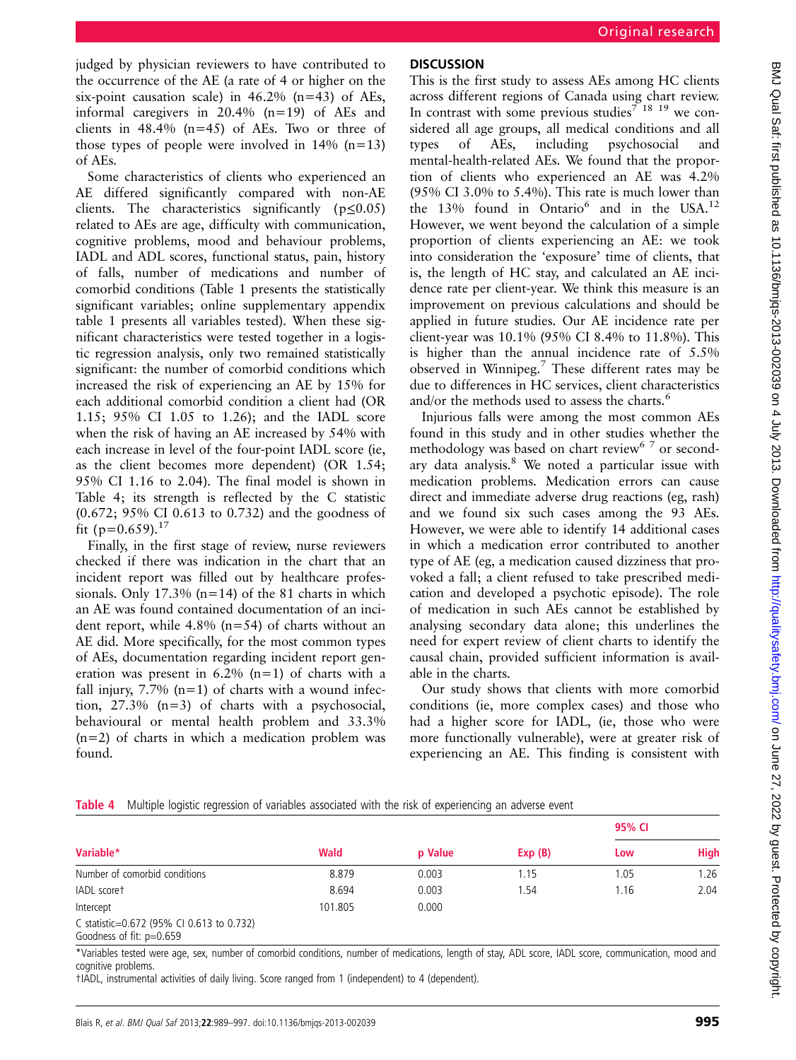judged by physician reviewers to have contributed to the occurrence of the AE (a rate of 4 or higher on the six-point causation scale) in  $46.2\%$  (n=43) of AEs, informal caregivers in 20.4% (n=19) of AEs and clients in  $48.4\%$  (n=45) of AEs. Two or three of those types of people were involved in  $14\%$  (n=13) of AEs.

Some characteristics of clients who experienced an AE differed significantly compared with non-AE clients. The characteristics significantly ( $p \le 0.05$ ) related to AEs are age, difficulty with communication, cognitive problems, mood and behaviour problems, IADL and ADL scores, functional status, pain, history of falls, number of medications and number of comorbid conditions (Table 1 presents the statistically significant variables; online supplementary appendix table 1 presents all variables tested). When these significant characteristics were tested together in a logistic regression analysis, only two remained statistically significant: the number of comorbid conditions which increased the risk of experiencing an AE by 15% for each additional comorbid condition a client had (OR 1.15; 95% CI 1.05 to 1.26); and the IADL score when the risk of having an AE increased by 54% with each increase in level of the four-point IADL score (ie, as the client becomes more dependent) (OR 1.54; 95% CI 1.16 to 2.04). The final model is shown in Table 4; its strength is reflected by the C statistic (0.672; 95% CI 0.613 to 0.732) and the goodness of fit (p=0.659).<sup>17</sup>

Finally, in the first stage of review, nurse reviewers checked if there was indication in the chart that an incident report was filled out by healthcare professionals. Only 17.3% ( $n=14$ ) of the 81 charts in which an AE was found contained documentation of an incident report, while  $4.8\%$  (n=54) of charts without an AE did. More specifically, for the most common types of AEs, documentation regarding incident report generation was present in  $6.2\%$  (n=1) of charts with a fall injury,  $7.7\%$  (n=1) of charts with a wound infection, 27.3% (n=3) of charts with a psychosocial, behavioural or mental health problem and 33.3%  $(n=2)$  of charts in which a medication problem was found.

# **DISCUSSION**

This is the first study to assess AEs among HC clients across different regions of Canada using chart review. In contrast with some previous studies<sup>7 18 19</sup> we considered all age groups, all medical conditions and all types of AEs, including psychosocial and mental-health-related AEs. We found that the proportion of clients who experienced an AE was 4.2% (95% CI 3.0% to 5.4%). This rate is much lower than the 13% found in Ontario<sup>6</sup> and in the USA.<sup>12</sup> However, we went beyond the calculation of a simple proportion of clients experiencing an AE: we took into consideration the 'exposure' time of clients, that is, the length of HC stay, and calculated an AE incidence rate per client-year. We think this measure is an improvement on previous calculations and should be applied in future studies. Our AE incidence rate per client-year was 10.1% (95% CI 8.4% to 11.8%). This is higher than the annual incidence rate of 5.5% observed in Winnipeg.<sup>7</sup> These different rates may be due to differences in HC services, client characteristics and/or the methods used to assess the charts.<sup>6</sup>

Injurious falls were among the most common AEs found in this study and in other studies whether the methodology was based on chart review<sup>67</sup> or secondary data analysis.<sup>8</sup> We noted a particular issue with medication problems. Medication errors can cause direct and immediate adverse drug reactions (eg, rash) and we found six such cases among the 93 AEs. However, we were able to identify 14 additional cases in which a medication error contributed to another type of AE (eg, a medication caused dizziness that provoked a fall; a client refused to take prescribed medication and developed a psychotic episode). The role of medication in such AEs cannot be established by analysing secondary data alone; this underlines the need for expert review of client charts to identify the causal chain, provided sufficient information is available in the charts.

Our study shows that clients with more comorbid conditions (ie, more complex cases) and those who had a higher score for IADL, (ie, those who were more functionally vulnerable), were at greater risk of experiencing an AE. This finding is consistent with

| Table 4 Multiple logistic regression of variables associated with the risk of experiencing an adverse event |  |  |  |  |  |
|-------------------------------------------------------------------------------------------------------------|--|--|--|--|--|
|                                                                                                             |  |  |  |  |  |

|                                                                         | Wald    |         |        | 95% CI |             |  |
|-------------------------------------------------------------------------|---------|---------|--------|--------|-------------|--|
| Variable*                                                               |         | p Value | Exp(B) | Low    | <b>High</b> |  |
| Number of comorbid conditions                                           | 8.879   | 0.003   | 1.15   | 1.05   | 1.26        |  |
| IADL scoret                                                             | 8.694   | 0.003   | 1.54   | 1.16   | 2.04        |  |
| Intercept                                                               | 101.805 | 0.000   |        |        |             |  |
| C statistic=0.672 (95% CI 0.613 to 0.732)<br>Goodness of fit: $p=0.659$ |         |         |        |        |             |  |

\*Variables tested were age, sex, number of comorbid conditions, number of medications, length of stay, ADL score, IADL score, communication, mood and cognitive problems.

†IADL, instrumental activities of daily living. Score ranged from 1 (independent) to 4 (dependent).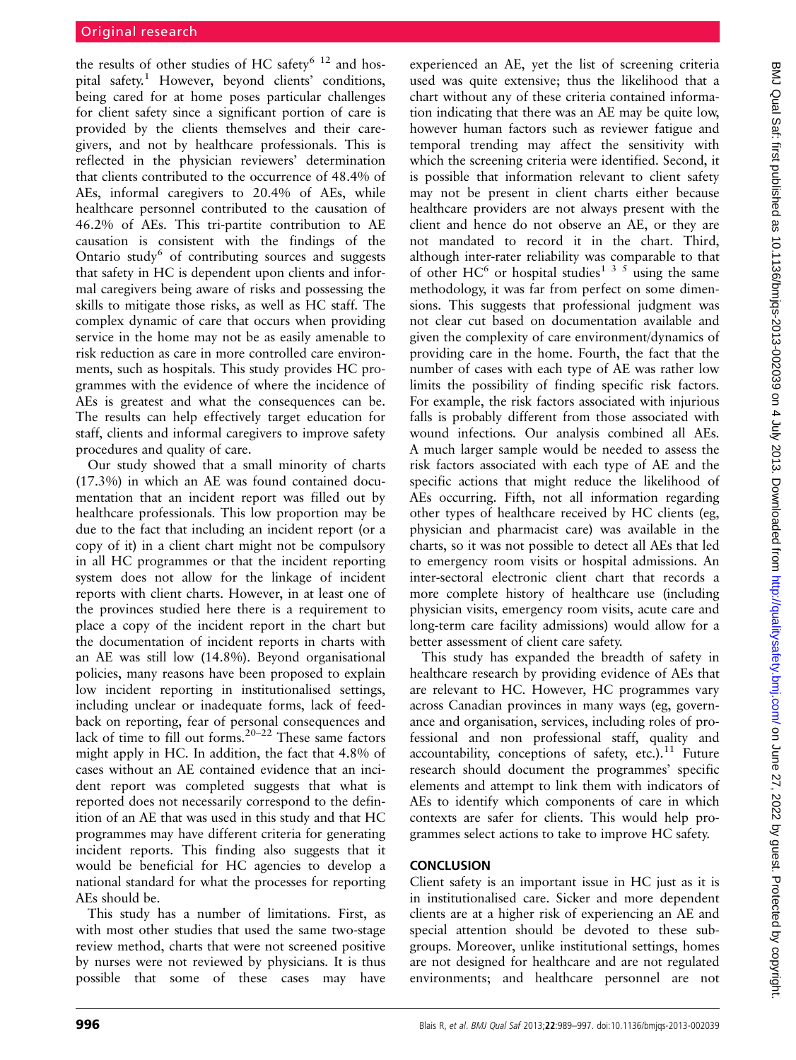the results of other studies of HC safety $612$  and hospital safety.<sup>1</sup> However, beyond clients' conditions, being cared for at home poses particular challenges for client safety since a significant portion of care is provided by the clients themselves and their caregivers, and not by healthcare professionals. This is reflected in the physician reviewers' determination that clients contributed to the occurrence of 48.4% of AEs, informal caregivers to 20.4% of AEs, while healthcare personnel contributed to the causation of 46.2% of AEs. This tri-partite contribution to AE causation is consistent with the findings of the Ontario study $6$  of contributing sources and suggests that safety in HC is dependent upon clients and informal caregivers being aware of risks and possessing the skills to mitigate those risks, as well as HC staff. The complex dynamic of care that occurs when providing service in the home may not be as easily amenable to risk reduction as care in more controlled care environments, such as hospitals. This study provides HC programmes with the evidence of where the incidence of AEs is greatest and what the consequences can be. The results can help effectively target education for staff, clients and informal caregivers to improve safety procedures and quality of care.

Our study showed that a small minority of charts (17.3%) in which an AE was found contained documentation that an incident report was filled out by healthcare professionals. This low proportion may be due to the fact that including an incident report (or a copy of it) in a client chart might not be compulsory in all HC programmes or that the incident reporting system does not allow for the linkage of incident reports with client charts. However, in at least one of the provinces studied here there is a requirement to place a copy of the incident report in the chart but the documentation of incident reports in charts with an AE was still low (14.8%). Beyond organisational policies, many reasons have been proposed to explain low incident reporting in institutionalised settings, including unclear or inadequate forms, lack of feedback on reporting, fear of personal consequences and lack of time to fill out forms.<sup>20–22</sup> These same factors might apply in HC. In addition, the fact that 4.8% of cases without an AE contained evidence that an incident report was completed suggests that what is reported does not necessarily correspond to the definition of an AE that was used in this study and that HC programmes may have different criteria for generating incident reports. This finding also suggests that it would be beneficial for HC agencies to develop a national standard for what the processes for reporting AEs should be.

This study has a number of limitations. First, as with most other studies that used the same two-stage review method, charts that were not screened positive by nurses were not reviewed by physicians. It is thus possible that some of these cases may have

experienced an AE, yet the list of screening criteria used was quite extensive; thus the likelihood that a chart without any of these criteria contained information indicating that there was an AE may be quite low, however human factors such as reviewer fatigue and temporal trending may affect the sensitivity with which the screening criteria were identified. Second, it is possible that information relevant to client safety may not be present in client charts either because healthcare providers are not always present with the client and hence do not observe an AE, or they are not mandated to record it in the chart. Third, although inter-rater reliability was comparable to that of other HC<sup>6</sup> or hospital studies<sup>1 3 5</sup> using the same methodology, it was far from perfect on some dimensions. This suggests that professional judgment was not clear cut based on documentation available and given the complexity of care environment/dynamics of providing care in the home. Fourth, the fact that the number of cases with each type of AE was rather low limits the possibility of finding specific risk factors. For example, the risk factors associated with injurious falls is probably different from those associated with wound infections. Our analysis combined all AEs. A much larger sample would be needed to assess the risk factors associated with each type of AE and the specific actions that might reduce the likelihood of AEs occurring. Fifth, not all information regarding other types of healthcare received by HC clients (eg, physician and pharmacist care) was available in the charts, so it was not possible to detect all AEs that led to emergency room visits or hospital admissions. An inter-sectoral electronic client chart that records a more complete history of healthcare use (including physician visits, emergency room visits, acute care and long-term care facility admissions) would allow for a better assessment of client care safety.

This study has expanded the breadth of safety in healthcare research by providing evidence of AEs that are relevant to HC. However, HC programmes vary across Canadian provinces in many ways (eg, governance and organisation, services, including roles of professional and non professional staff, quality and accountability, conceptions of safety, etc.).<sup>11</sup> Future research should document the programmes' specific elements and attempt to link them with indicators of AEs to identify which components of care in which contexts are safer for clients. This would help programmes select actions to take to improve HC safety.

## **CONCLUSION**

Client safety is an important issue in HC just as it is in institutionalised care. Sicker and more dependent clients are at a higher risk of experiencing an AE and special attention should be devoted to these subgroups. Moreover, unlike institutional settings, homes are not designed for healthcare and are not regulated environments; and healthcare personnel are not